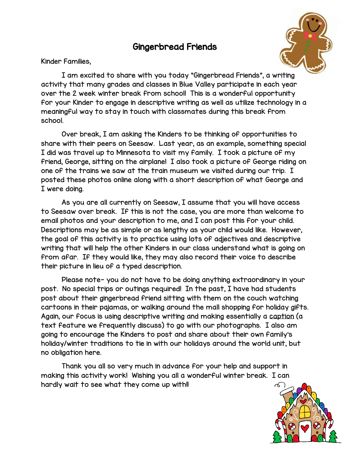## Gingerbread Friends



Kinder Families,

I am excited to share with you today "Gingerbread Friends", a writing activity that many grades and classes in Blue Valley participate in each year over the 2 week winter break from school! This is a wonderful opportunity for your Kinder to engage in descriptive writing as well as utilize technology in a meaningful way to stay in touch with classmates during this break from school.

Over break, I am asking the Kinders to be thinking of opportunities to share with their peers on Seesaw. Last year, as an example, something special I did was travel up to Minnesota to visit my family. I took a picture of my friend, George, sitting on the airplane! I also took a picture of George riding on one of the trains we saw at the train museum we visited during our trip. I posted these photos online along with a short description of what George and I were doing.

As you are all currently on Seesaw, I assume that you will have access to Seesaw over break. If this is not the case, you are more than welcome to email photos and your description to me, and I can post this for your child. Descriptions may be as simple or as lengthy as your child would like. However, the goal of this activity is to practice using lots of adjectives and descriptive writing that will help the other Kinders in our class understand what is going on from afar. If they would like, they may also record their voice to describe their picture in lieu of a typed description.

Please note- you do not have to be doing anything extraordinary in your post. No special trips or outings required! In the past, I have had students post about their gingerbread friend sitting with them on the couch watching cartoons in their pajamas, or walking around the mall shopping for holiday gifts. Again, our focus is using descriptive writing and making essentially a caption (a text feature we frequently discuss) to go with our photographs. I also am going to encourage the Kinders to post and share about their own family's holiday/winter traditions to tie in with our holidays around the world unit, but no obligation here.

Thank you all so very much in advance for your help and support in making this activity work! Wishing you all a wonderful winter break. I can hardly wait to see what they come up with!!